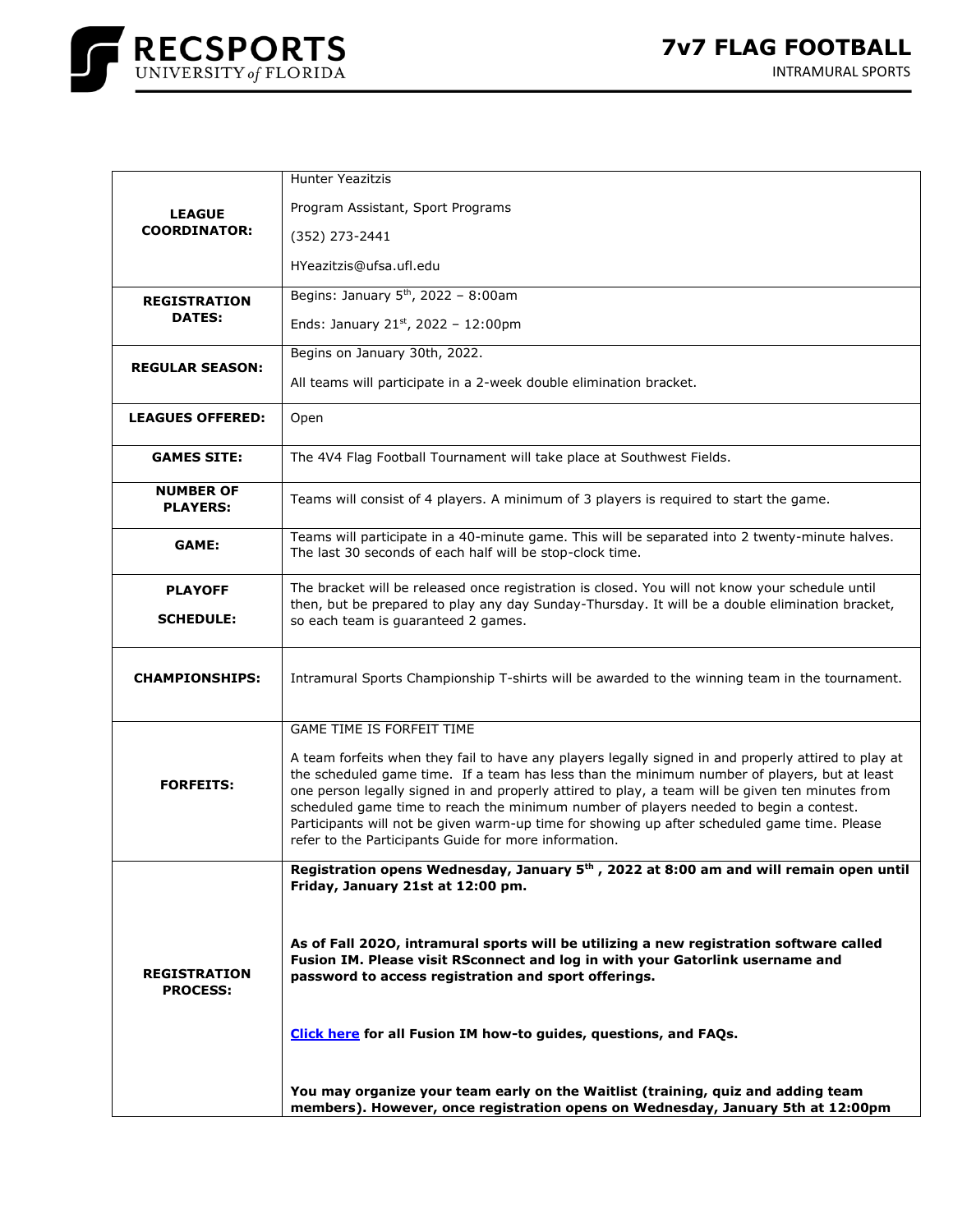

| <b>LEAGUE</b><br><b>COORDINATOR:</b>   | <b>Hunter Yeazitzis</b>                                                                                                                                                                                                                                                                                                                                                                                                                                                                                                                                    |
|----------------------------------------|------------------------------------------------------------------------------------------------------------------------------------------------------------------------------------------------------------------------------------------------------------------------------------------------------------------------------------------------------------------------------------------------------------------------------------------------------------------------------------------------------------------------------------------------------------|
|                                        | Program Assistant, Sport Programs                                                                                                                                                                                                                                                                                                                                                                                                                                                                                                                          |
|                                        | (352) 273-2441                                                                                                                                                                                                                                                                                                                                                                                                                                                                                                                                             |
|                                        | HYeazitzis@ufsa.ufl.edu                                                                                                                                                                                                                                                                                                                                                                                                                                                                                                                                    |
| <b>REGISTRATION</b><br><b>DATES:</b>   | Begins: January 5 <sup>th</sup> , 2022 - 8:00am                                                                                                                                                                                                                                                                                                                                                                                                                                                                                                            |
|                                        | Ends: January 21st, 2022 - 12:00pm                                                                                                                                                                                                                                                                                                                                                                                                                                                                                                                         |
| <b>REGULAR SEASON:</b>                 | Begins on January 30th, 2022.                                                                                                                                                                                                                                                                                                                                                                                                                                                                                                                              |
|                                        | All teams will participate in a 2-week double elimination bracket.                                                                                                                                                                                                                                                                                                                                                                                                                                                                                         |
| <b>LEAGUES OFFERED:</b>                | Open                                                                                                                                                                                                                                                                                                                                                                                                                                                                                                                                                       |
| <b>GAMES SITE:</b>                     | The 4V4 Flag Football Tournament will take place at Southwest Fields.                                                                                                                                                                                                                                                                                                                                                                                                                                                                                      |
| <b>NUMBER OF</b><br><b>PLAYERS:</b>    | Teams will consist of 4 players. A minimum of 3 players is required to start the game.                                                                                                                                                                                                                                                                                                                                                                                                                                                                     |
| <b>GAME:</b>                           | Teams will participate in a 40-minute game. This will be separated into 2 twenty-minute halves.<br>The last 30 seconds of each half will be stop-clock time.                                                                                                                                                                                                                                                                                                                                                                                               |
| <b>PLAYOFF</b>                         | The bracket will be released once registration is closed. You will not know your schedule until                                                                                                                                                                                                                                                                                                                                                                                                                                                            |
| <b>SCHEDULE:</b>                       | then, but be prepared to play any day Sunday-Thursday. It will be a double elimination bracket,<br>so each team is quaranteed 2 games.                                                                                                                                                                                                                                                                                                                                                                                                                     |
|                                        |                                                                                                                                                                                                                                                                                                                                                                                                                                                                                                                                                            |
| <b>CHAMPIONSHIPS:</b>                  | Intramural Sports Championship T-shirts will be awarded to the winning team in the tournament.                                                                                                                                                                                                                                                                                                                                                                                                                                                             |
|                                        | GAME TIME IS FORFEIT TIME                                                                                                                                                                                                                                                                                                                                                                                                                                                                                                                                  |
| <b>FORFEITS:</b>                       | A team forfeits when they fail to have any players legally signed in and properly attired to play at<br>the scheduled game time. If a team has less than the minimum number of players, but at least<br>one person legally signed in and properly attired to play, a team will be given ten minutes from<br>scheduled game time to reach the minimum number of players needed to begin a contest.<br>Participants will not be given warm-up time for showing up after scheduled game time. Please<br>refer to the Participants Guide for more information. |
|                                        | Registration opens Wednesday, January 5 <sup>th</sup> , 2022 at 8:00 am and will remain open until<br>Friday, January 21st at 12:00 pm.                                                                                                                                                                                                                                                                                                                                                                                                                    |
| <b>REGISTRATION</b><br><b>PROCESS:</b> | As of Fall 2020, intramural sports will be utilizing a new registration software called<br>Fusion IM. Please visit RSconnect and log in with your Gatorlink username and<br>password to access registration and sport offerings.<br>Click here for all Fusion IM how-to guides, questions, and FAQs.                                                                                                                                                                                                                                                       |
|                                        | You may organize your team early on the Waitlist (training, quiz and adding team<br>members). However, once registration opens on Wednesday, January 5th at 12:00pm                                                                                                                                                                                                                                                                                                                                                                                        |